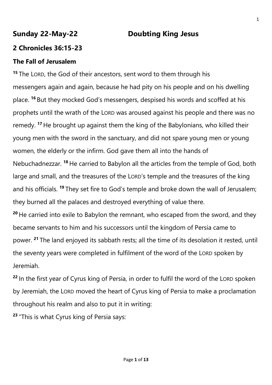# **Sunday 22-May-22 Doubting King Jesus**

## **2 Chronicles 36:15-23**

## **The Fall of Jerusalem**

**<sup>15</sup>** The LORD, the God of their ancestors, sent word to them through his messengers again and again, because he had pity on his people and on his dwelling place. **<sup>16</sup>** But they mocked God's messengers, despised his words and scoffed at his prophets until the wrath of the LORD was aroused against his people and there was no remedy. **<sup>17</sup>** He brought up against them the king of the Babylonians, who killed their young men with the sword in the sanctuary, and did not spare young men or young women, the elderly or the infirm. God gave them all into the hands of Nebuchadnezzar. **<sup>18</sup>** He carried to Babylon all the articles from the temple of God, both large and small, and the treasures of the LORD's temple and the treasures of the king and his officials. **<sup>19</sup>** They set fire to God's temple and broke down the wall of Jerusalem; they burned all the palaces and destroyed everything of value there.

**<sup>20</sup>** He carried into exile to Babylon the remnant, who escaped from the sword, and they became servants to him and his successors until the kingdom of Persia came to power. **<sup>21</sup>** The land enjoyed its sabbath rests; all the time of its desolation it rested, until the seventy years were completed in fulfilment of the word of the LORD spoken by Jeremiah.

**<sup>22</sup>** In the first year of Cyrus king of Persia, in order to fulfil the word of the LORD spoken by Jeremiah, the LORD moved the heart of Cyrus king of Persia to make a proclamation throughout his realm and also to put it in writing:

**<sup>23</sup>** "This is what Cyrus king of Persia says: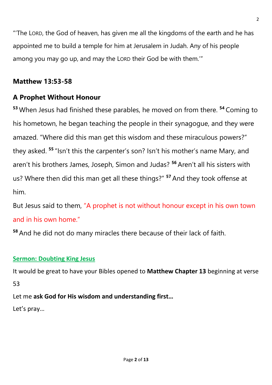"'The LORD, the God of heaven, has given me all the kingdoms of the earth and he has appointed me to build a temple for him at Jerusalem in Judah. Any of his people among you may go up, and may the LORD their God be with them.'"

## **Matthew 13:53-58**

## **A Prophet Without Honour**

**<sup>53</sup>** When Jesus had finished these parables, he moved on from there. **<sup>54</sup>** Coming to his hometown, he began teaching the people in their synagogue, and they were amazed. "Where did this man get this wisdom and these miraculous powers?" they asked. **<sup>55</sup>** "Isn't this the carpenter's son? Isn't his mother's name Mary, and aren't his brothers James, Joseph, Simon and Judas? **<sup>56</sup>** Aren't all his sisters with us? Where then did this man get all these things?" **<sup>57</sup>** And they took offense at him.

But Jesus said to them, "A prophet is not without honour except in his own town and in his own home."

**<sup>58</sup>** And he did not do many miracles there because of their lack of faith.

### **Sermon: Doubting King Jesus**

It would be great to have your Bibles opened to **Matthew Chapter 13** beginning at verse 53

Let me **ask God for His wisdom and understanding first…**

Let's pray…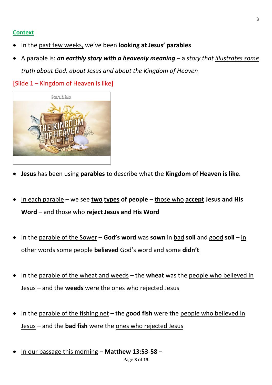#### **Context**

- In the past few weeks, we've been **looking at Jesus' parables**
- A parable is: *an earthly story with a heavenly meaning* a *story that illustrates some truth about God, about Jesus and about the Kingdom of Heaven*

[Slide 1 – Kingdom of Heaven is like]



- **Jesus** has been using **parables** to describe what the **Kingdom of Heaven is like**.
- In each parable we see **two types of people** those who **accept Jesus and His Word** – and those who **reject Jesus and His Word**
- In the parable of the Sower **God's word** was **sown** in bad **soil** and good **soil** in other words some people **believed** God's word and some **didn't**
- In the parable of the wheat and weeds the **wheat** was the people who believed in Jesus – and the **weeds** were the ones who rejected Jesus
- In the parable of the fishing net the **good fish** were the people who believed in Jesus – and the **bad fish** were the ones who rejected Jesus
- In our passage this morning **Matthew 13:53-58** –

3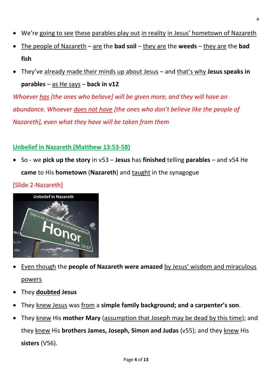- We're going to see these parables play out in reality in Jesus' hometown of Nazareth
- The people of Nazareth are the **bad soil** they are the **weeds** they are the **bad fish**
- They've already made their minds up about Jesus and that's why **Jesus speaks in parables** – as He says – **back in v12**

*Whoever has [the ones who believe] will be given more, and they will have an abundance. Whoever does not have [the ones who don't believe like the people of Nazareth], even what they have will be taken from them*

## **Unbelief in Nazareth (Matthew 13:53-58)**

• So - we **pick up the story** in v53 – **Jesus** has **finished** telling **parables** – and v54 He **came** to His **hometown** (**Nazareth**) and taught in the synagogue





- Even though the **people of Nazareth were amazed** by Jesus' wisdom and miraculous powers
- They **doubted Jesus**
- They knew Jesus was from a **simple family background; and a carpenter's son**.
- They knew His **mother Mary** (assumption that Joseph may be dead by this time); and they knew His **brothers James, Joseph, Simon and Judas** (v55); and they knew His **sisters** (V56).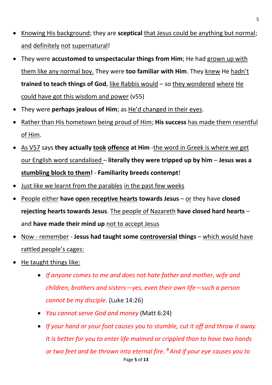- Knowing His background; they are **sceptical** that Jesus could be anything but normal; and definitely not supernatural!
- They were **accustomed to unspectacular things from Him**; He had grown up with them like any normal boy. They were **too familiar with Him**. They knew He hadn't **trained to teach things of God**, like Rabbis would – so they wondered where He could have got this wisdom and power (v55)
- They were **perhaps jealous of Him**; as He'd changed in their eyes.
- Rather than His hometown being proud of Him; **His success** has made them resentful of Him.
- As V57 says **they actually took offence at Him** -the word in Greek is where we get our English word scandalised – **literally they were tripped up by him** – **Jesus was a stumbling block to them!** - **Familiarity breeds contempt**!
- Just like we learnt from the parables in the past few weeks
- People either **have open receptive hearts towards Jesus** or they have **closed rejecting hearts towards Jesus**. The people of Nazareth **have closed hard hearts** – and **have made their mind up** not to accept Jesus
- Now remember **Jesus had taught some controversial things** which would have rattled people's cages:
- He taught things like:
	- *If anyone comes to me and does not hate father and mother, wife and children, brothers and sisters—yes, even their own life—such a person cannot be my disciple*. (Luke 14:26)
	- *You cannot serve God and money* (Matt 6:24)
	- Page **5** of **13** • *If your hand or your foot causes you to stumble, cut it off and throw it away. It is better for you to enter life maimed or crippled than to have two hands or two feet and be thrown into eternal fire. <sup>9</sup>And if your eye causes you to*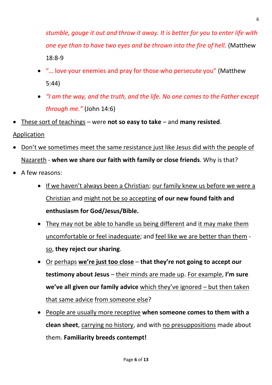*stumble, gouge it out and throw it away. It is better for you to enter life with one eye than to have two eyes and be thrown into the fire of hell.* (Matthew 18:8-9

- "… love your enemies and pray for those who persecute you" [\(Matthew](https://biblia.com/bible/esv/Matt%205.44)  [5:44\)](https://biblia.com/bible/esv/Matt%205.44)
- *"I am the way, and the truth, and the life. No one comes to the Father except through me."* [\(John 14:6\)](https://biblia.com/bible/esv/John%2014.6)
- These sort of teachings were **not so easy to take** and **many resisted**.
- Application
- Don't we sometimes meet the same resistance just like Jesus did with the people of Nazareth - **when we share our faith with family or close friends**. Why is that?
- A few reasons:
	- If we haven't always been a Christian; our family knew us before we were a Christian and might not be so accepting **of our new found faith and enthusiasm for God/Jesus/Bible.**
	- They may not be able to handle us being different and it may make them uncomfortable or feel inadequate; and feel like we are better than them so, **they reject our sharing**.
	- Or perhaps we're just too close that they're not going to accept our **testimony about Jesus** – their minds are made up. For example, **I'm sure we've all given our family advice** which they've ignored – but then taken that same advice from someone else?
	- People are usually more receptive **when someone comes to them with a clean sheet**, carrying no history, and with no presuppositions made about them. **Familiarity breeds contempt!**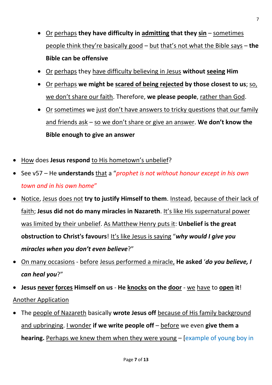- Or perhaps **they have difficulty in admitting that they sin** sometimes people think they're basically good – but that's not what the Bible says – **the Bible can be offensive**
- Or perhaps they have difficulty believing in Jesus **without seeing Him**
- Or perhaps **we might be scared of being rejected by those closest to us**; so, we don't share our faith. Therefore, **we please people**, rather than God.
- Or sometimes we just don't have answers to tricky questions that our family and friends ask – so we don't share or give an answer. We don't know the **Bible enough to give an answer**
- How does **Jesus respond** to His hometown's unbelief?
- See v57 He **understands** that a "*prophet is not without honour except in his own town and in his own home*"
- Notice, Jesus does not **try to justify Himself to them**. Instead, because of their lack of faith; **Jesus did not do many miracles in Nazareth**. It's like His supernatural power was limited by their unbelief. As Matthew Henry puts it: **Unbelief is the great obstruction to Christ's favours**! It's like Jesus is saying "*why would I give you miracles when you don't even believe*?"
- On many occasions before Jesus performed a miracle, **He asked** '*do you believe, I can heal you*?"
- **Jesus never forces Himself on us He knocks on the door** we have to **open it**! Another Application
- The people of Nazareth basically **wrote Jesus off** because of His family background and upbringing. I wonder **if we write people off** – before we even **give them a hearing.** Perhaps we knew them when they were young – [example of young boy in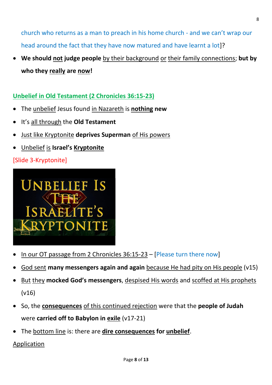church who returns as a man to preach in his home church - and we can't wrap our head around the fact that they have now matured and have learnt a lot]?

• **We should not judge people** by their background or their family connections; **but by who they really are now!**

## **Unbelief in Old Testament (2 Chronicles 36:15-23)**

- The unbelief Jesus found in Nazareth is **nothing new**
- It's all through the **Old Testament**
- Just like Kryptonite **deprives Superman** of His powers
- Unbelief is **Israel's Kryptonite**

## [Slide 3-Kryptonite]



- In our OT passage from 2 Chronicles 36:15-23 [Please turn there now]
- God sent **many messengers again and again** because He had pity on His people (v15)
- But they **mocked God's messengers**, despised His words and scoffed at His prophets (v16)
- So, the **consequences** of this continued rejection were that the **people of Judah** were **carried off to Babylon in exile** (v17-21)
- The bottom line is: there are **dire consequences for unbelief**.

### Application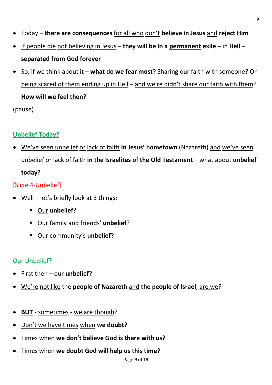- Today **there are consequences** for all who don't **believe in Jesus** and **reject Him**
- If people die not believing in Jesus **they will be in a permanent exile** in **Hell separated from God forever**
- So, if we think about it **what do we fear most**? Sharing our faith with someone? Or being scared of them ending up in Hell – and we're didn't share our faith with them? **How will we feel then**?

(pause)

# **Unbelief Today?**

We've seen unbelief or lack of faith in Jesus' hometown (Nazareth) and we've seen unbelief or lack of faith **in the Israelites of the Old Testament** – what about **unbelief today?**

# [Slide 4-Unbelief]

- Well let's briefly look at 3 things:
	- Our **unbelief**?
	- Our family and friends' **unbelief**?
	- Our community's **unbelief**?

# Our Unbelief?

- First then our **unbelief**?
- We're not like the **people of Nazareth** and **the people of Israel**, are we?
- **BUT** sometimes we are though?
- Don't we have times when **we doubt**?
- Times when we don't believe God is there with us?
- Times when **we doubt God will help us this time**?

9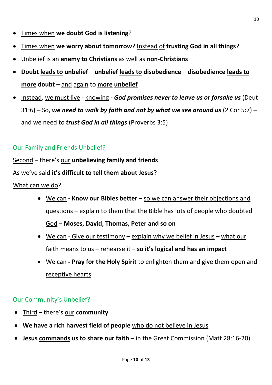- Times when **we doubt God is listening**?
- Times when **we worry about tomorrow**? Instead of **trusting God in all things**?
- Unbelief is an **enemy to Christians** as well as **non-Christians**
- **Doubt leads to unbelief unbelief leads to disobedience disobedience leads to more doubt** – and again to **more unbelief**
- Instead, we must live knowing *- God promises never to leave us or forsake us* (Deut 31:6) – So, *we need to walk by faith and not by what we see around us* (2 Cor 5:7) – and we need to *trust God in all things* (Proverbs 3:5)

## Our Family and Friends Unbelief?

Second – there's our **unbelieving family and friends**

#### As we've said it's difficult to tell them about Jesus?

#### What can we do?

- We can **- Know our Bibles better** so we can answer their objections and questions – explain to them that the Bible has lots of people who doubted God – **Moses, David, Thomas, Peter and so on**
- We can Give our testimony explain why we belief in Jesus what our faith means to us – rehearse it – **so it's logical and has an impact**
- We can **- Pray for the Holy Spirit** to enlighten them and give them open and receptive hearts

### Our Community's Unbelief?

- Third there's our **community**
- **We have a rich harvest field of people** who do not believe in Jesus
- **Jesus commands us to share our faith** in the Great Commission (Matt 28:16-20)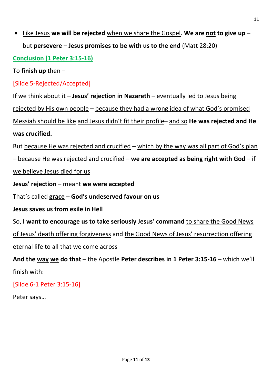• Like Jesus **we will be rejected** when we share the Gospel. **We are not to give up** – but **persevere** – **Jesus promises to be with us to the end** (Matt 28:20)

**Conclusion (1 Peter 3:15-16)**

To **finish up** then –

[Slide 5-Rejected/Accepted]

If we think about it - Jesus' rejection in Nazareth - eventually led to Jesus being

rejected by His own people – because they had a wrong idea of what God's promised

Messiah should be like and Jesus didn't fit their profile– and so **He was rejected and He was crucified.**

But because He was rejected and crucified – which by the way was all part of God's plan

– because He was rejected and crucified – **we are accepted as being right with God** – if

we believe Jesus died for us

**Jesus' rejection** – meant **we were accepted**

That's called **grace** – **God's undeserved favour on us**

**Jesus saves us from exile in Hell**

So, **I want to encourage us to take seriously Jesus' command** to share the Good News

of Jesus' death offering forgiveness and the Good News of Jesus' resurrection offering

eternal life to all that we come across

**And the way we do that** – the Apostle **Peter describes in 1 Peter 3:15-16** – which we'll finish with:

[Slide 6-1 Peter 3:15-16]

Peter says…